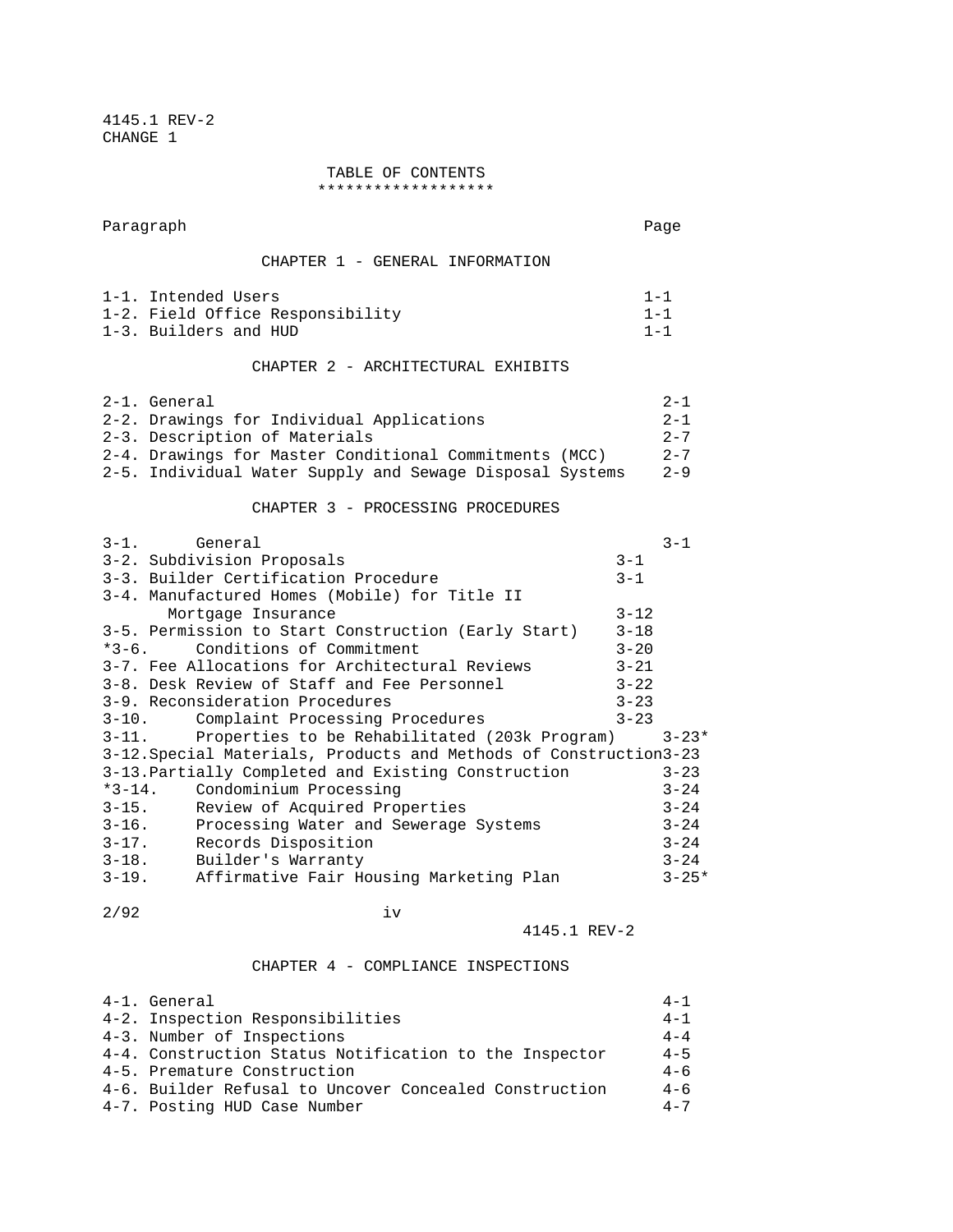4145.1 REV-2 CHANGE 1

> TABLE OF CONTENTS \*\*\*\*\*\*\*\*\*\*\*\*\*\*\*\*\*\*\*

Paragraph Page CHAPTER 1 - GENERAL INFORMATION 1-1. Intended Users 1-1 1-2. Field Office Responsibility 1-1 1-3. Builders and HUD 1-1 1-1 CHAPTER 2 - ARCHITECTURAL EXHIBITS  $2-1.$  General  $2-1$ 2-2. Drawings for Individual Applications  $2-3$ . Description of Materials  $2-7$ 2-3. Description of Materials 2-4. Drawings for Master Conditional Commitments (MCC) 2-7 2-5. Individual Water Supply and Sewage Disposal Systems 2-9 CHAPTER 3 - PROCESSING PROCEDURES  $3-1$ . General  $3-1$ 3-2. Subdivision Proposals 3-1 3-3. Builder Certification Procedure 3-1 3-4. Manufactured Homes (Mobile) for Title II Mortgage Insurance 3-12 3-5. Permission to Start Construction (Early Start) 3-18 \*3-6. Conditions of Commitment 3-20 3-7. Fee Allocations for Architectural Reviews 3-21 3-8. Desk Review of Staff and Fee Personnel 3-22 3-9. Reconsideration Procedures 3-23 3-10. Complaint Processing Procedures 3-23<br>3-11. Properties to be Rehabilitated (203k Program) Properties to be Rehabilitated (203k Program) 3-23\* 3-12.Special Materials, Products and Methods of Construction3-23 3-13.Partially Completed and Existing Construction 3-23 \*3-14. Condominium Processing 3-24 3-15. Review of Acquired Properties 3-24 3-16. Processing Water and Sewerage Systems 3-24 3-17. Records Disposition 3-24 3-18. Builder's Warranty 3-24 3-19. Affirmative Fair Housing Marketing Plan 3-25\*  $2/92$  iv

## 4145.1 REV-2

## CHAPTER 4 - COMPLIANCE INSPECTIONS

| 4-1. General                                           | $4 - 1$ |
|--------------------------------------------------------|---------|
| 4-2. Inspection Responsibilities                       | $4 - 1$ |
| 4-3. Number of Inspections                             | $4 - 4$ |
| 4-4. Construction Status Notification to the Inspector | $4 - 5$ |
| 4-5. Premature Construction                            | $4 - 6$ |
| 4-6. Builder Refusal to Uncover Concealed Construction | $4 - 6$ |
| 4-7. Posting HUD Case Number                           | $4 - 7$ |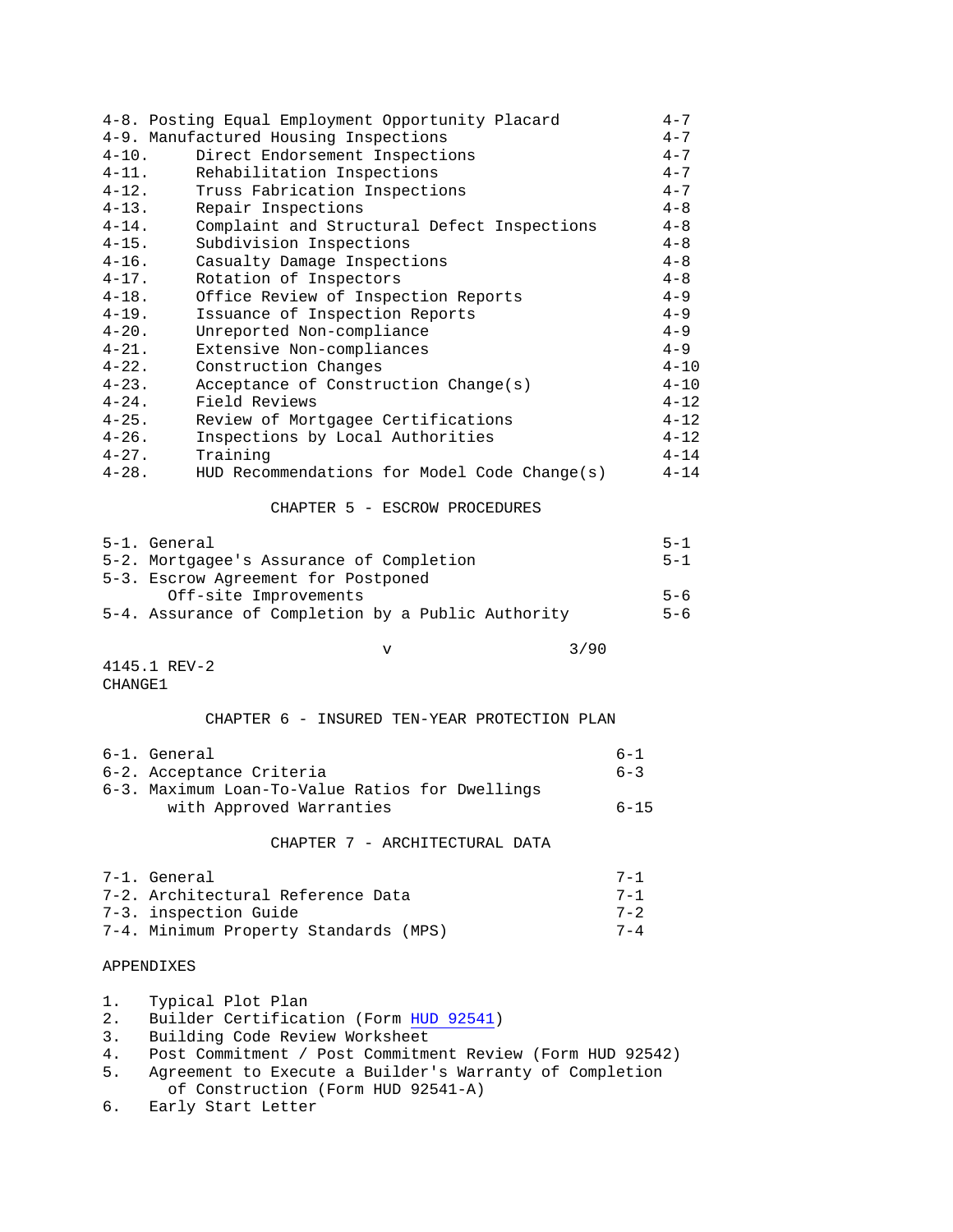| 4-8. Posting Equal Employment Opportunity Placard<br>4-9. Manufactured Housing Inspections<br>$4 - 10$ .<br>Direct Endorsement Inspections<br>$4 - 11$ .<br>Rehabilitation Inspections<br>$4 - 12$ .<br>Truss Fabrication Inspections<br>$4 - 13$ .<br>Repair Inspections<br>$4 - 14$ .<br>Complaint and Structural Defect Inspections<br>$4 - 15$ .<br>Subdivision Inspections<br>$4 - 16$ .<br>Casualty Damage Inspections<br>$4 - 17$ .<br>Rotation of Inspectors<br>Office Review of Inspection Reports<br>$4 - 18$ .<br>$4 - 19$ .<br>Issuance of Inspection Reports<br>$4 - 20$ .<br>Unreported Non-compliance<br>$4 - 21$ .<br>Extensive Non-compliances<br>$4 - 22$ .<br>Construction Changes<br>$4 - 23$ .<br>Acceptance of Construction Change(s)<br>Field Reviews<br>$4 - 24$ .<br>$4 - 25$ .<br>Review of Mortgagee Certifications<br>$4 - 26$ .<br>Inspections by Local Authorities<br>$4 - 27$ .<br>Training<br>$4 - 28.$<br>HUD Recommendations for Model Code Change(s)<br>CHAPTER 5 - ESCROW PROCEDURES<br>5-1. General<br>5-2. Mortgagee's Assurance of Completion<br>5-3. Escrow Agreement for Postponed<br>Off-site Improvements<br>5-4. Assurance of Completion by a Public Authority | $4 - 7$<br>$4 - 7$<br>$4 - 7$<br>$4 - 7$<br>$4 - 7$<br>$4 - 8$<br>$4 - 8$<br>$4 - 8$<br>$4 - 8$<br>$4 - 8$<br>$4 - 9$<br>$4 - 9$<br>$4 - 9$<br>$4 - 9$<br>$4 - 10$<br>$4 - 10$<br>$4 - 12$<br>$4 - 12$<br>$4 - 12$<br>$4 - 14$<br>$4 - 14$<br>$5 - 1$<br>$5 - 1$<br>$5 - 6$<br>$5 - 6$ |  |  |
|------------------------------------------------------------------------------------------------------------------------------------------------------------------------------------------------------------------------------------------------------------------------------------------------------------------------------------------------------------------------------------------------------------------------------------------------------------------------------------------------------------------------------------------------------------------------------------------------------------------------------------------------------------------------------------------------------------------------------------------------------------------------------------------------------------------------------------------------------------------------------------------------------------------------------------------------------------------------------------------------------------------------------------------------------------------------------------------------------------------------------------------------------------------------------------------------------------|----------------------------------------------------------------------------------------------------------------------------------------------------------------------------------------------------------------------------------------------------------------------------------------|--|--|
|                                                                                                                                                                                                                                                                                                                                                                                                                                                                                                                                                                                                                                                                                                                                                                                                                                                                                                                                                                                                                                                                                                                                                                                                            |                                                                                                                                                                                                                                                                                        |  |  |
| 3/90<br>$\mathbf v$<br>4145.1 REV-2<br>CHANGE1                                                                                                                                                                                                                                                                                                                                                                                                                                                                                                                                                                                                                                                                                                                                                                                                                                                                                                                                                                                                                                                                                                                                                             |                                                                                                                                                                                                                                                                                        |  |  |
| CHAPTER 6 - INSURED TEN-YEAR PROTECTION PLAN                                                                                                                                                                                                                                                                                                                                                                                                                                                                                                                                                                                                                                                                                                                                                                                                                                                                                                                                                                                                                                                                                                                                                               |                                                                                                                                                                                                                                                                                        |  |  |
| 6-1. General<br>6-2. Acceptance Criteria<br>6-3. Maximum Loan-To-Value Ratios for Dwellings<br>with Approved Warranties                                                                                                                                                                                                                                                                                                                                                                                                                                                                                                                                                                                                                                                                                                                                                                                                                                                                                                                                                                                                                                                                                    | $6 - 1$<br>$6 - 3$<br>$6 - 15$                                                                                                                                                                                                                                                         |  |  |
| CHAPTER 7 - ARCHITECTURAL DATA                                                                                                                                                                                                                                                                                                                                                                                                                                                                                                                                                                                                                                                                                                                                                                                                                                                                                                                                                                                                                                                                                                                                                                             |                                                                                                                                                                                                                                                                                        |  |  |
| 7-1. General<br>7-2. Architectural Reference Data<br>7-3. inspection Guide<br>7-4. Minimum Property Standards (MPS)                                                                                                                                                                                                                                                                                                                                                                                                                                                                                                                                                                                                                                                                                                                                                                                                                                                                                                                                                                                                                                                                                        | $7 - 1$<br>$7 - 1$<br>$7 - 2$<br>$7 - 4$                                                                                                                                                                                                                                               |  |  |
| APPENDIXES                                                                                                                                                                                                                                                                                                                                                                                                                                                                                                                                                                                                                                                                                                                                                                                                                                                                                                                                                                                                                                                                                                                                                                                                 |                                                                                                                                                                                                                                                                                        |  |  |
| 1.<br>Typical Plot Plan<br>$2$ .<br>Builder Certification (Form HUD 92541)<br>3.<br>Building Code Review Worksheet<br>Post Commitment / Post Commitment Review (Form HUD 92542)<br>4.<br>5.<br>Agreement to Execute a Builder's Warranty of Completion<br>of Construction (Form HUD 92541-A)<br>б.<br>Early Start Letter                                                                                                                                                                                                                                                                                                                                                                                                                                                                                                                                                                                                                                                                                                                                                                                                                                                                                   |                                                                                                                                                                                                                                                                                        |  |  |